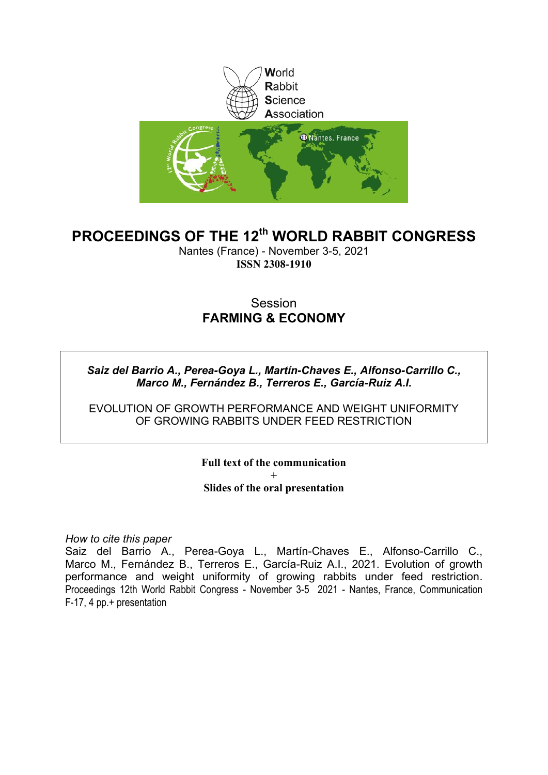

### **PROCEEDINGS OF THE 12th WORLD RABBIT CONGRESS**

Nantes (France) - November 3-5, 2021 **ISSN 2308-1910**

### Session **FARMING & ECONOMY**

*Saiz del Barrio A., Perea-Goya L., Martín-Chaves E., Alfonso-Carrillo C., Marco M., Fernández B., Terreros E., García-Ruiz A.I.*

EVOLUTION OF GROWTH PERFORMANCE AND WEIGHT UNIFORMITY OF GROWING RABBITS UNDER FEED RESTRICTION

> **Full text of the communication + Slides of the oral presentation**

*How to cite this paper*

Saiz del Barrio A., Perea-Goya L., Martín-Chaves E., Alfonso-Carrillo C., Marco M., Fernández B., Terreros E., García-Ruiz A.I., 2021. Evolution of growth performance and weight uniformity of growing rabbits under feed restriction. Proceedings 12th World Rabbit Congress - November 3-5 2021 - Nantes, France, Communication F-17, 4 pp.+ presentation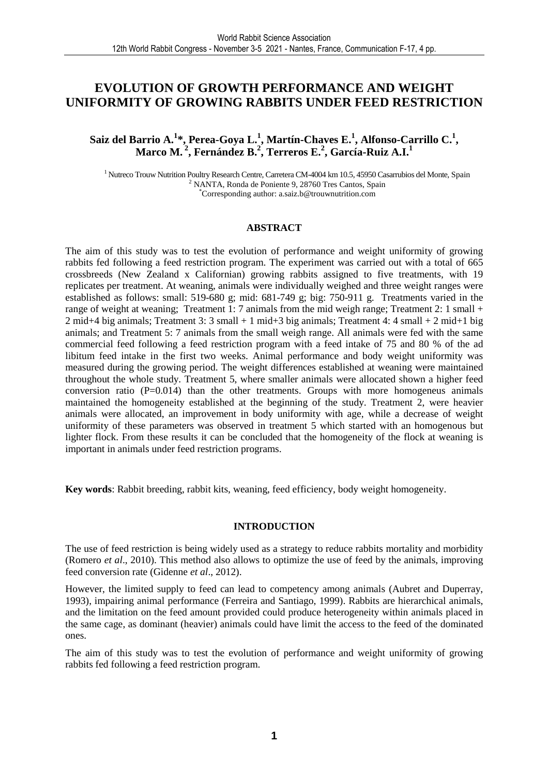### **EVOLUTION OF GROWTH PERFORMANCE AND WEIGHT UNIFORMITY OF GROWING RABBITS UNDER FEED RESTRICTION**

**Saiz del Barrio A.<sup>1</sup> \*, Perea-Goya L.<sup>1</sup> , Martín-Chaves E.<sup>1</sup> , Alfonso-Carrillo C.<sup>1</sup> , Marco M.<sup>2</sup>, Fernández B.<sup>2</sup> , Terreros E.<sup>2</sup> , García-Ruiz A.I.<sup>1</sup>** 

<sup>1</sup> Nutreco Trouw Nutrition Poultry Research Centre, Carretera CM-4004 km 10.5, 45950 Casarrubios del Monte, Spain <sup>2</sup> NANTA, Ronda de Poniente 9, 28760 Tres Cantos, Spain \*Corresponding author: a.saiz.b@trouwnutrition.com

#### **ABSTRACT**

The aim of this study was to test the evolution of performance and weight uniformity of growing rabbits fed following a feed restriction program. The experiment was carried out with a total of 665 crossbreeds (New Zealand x Californian) growing rabbits assigned to five treatments, with 19 replicates per treatment. At weaning, animals were individually weighed and three weight ranges were established as follows: small: 519-680 g; mid: 681-749 g; big: 750-911 g. Treatments varied in the range of weight at weaning; Treatment 1: 7 animals from the mid weigh range; Treatment 2: 1 small + 2 mid+4 big animals; Treatment 3: 3 small + 1 mid+3 big animals; Treatment 4: 4 small + 2 mid+1 big animals; and Treatment 5: 7 animals from the small weigh range. All animals were fed with the same commercial feed following a feed restriction program with a feed intake of 75 and 80 % of the ad libitum feed intake in the first two weeks. Animal performance and body weight uniformity was measured during the growing period. The weight differences established at weaning were maintained throughout the whole study. Treatment 5, where smaller animals were allocated shown a higher feed conversion ratio  $(P=0.014)$  than the other treatments. Groups with more homogeneus animals maintained the homogeneity established at the beginning of the study. Treatment 2, were heavier animals were allocated, an improvement in body uniformity with age, while a decrease of weight uniformity of these parameters was observed in treatment 5 which started with an homogenous but lighter flock. From these results it can be concluded that the homogeneity of the flock at weaning is important in animals under feed restriction programs.

**Key words**: Rabbit breeding, rabbit kits, weaning, feed efficiency, body weight homogeneity.

#### **INTRODUCTION**

The use of feed restriction is being widely used as a strategy to reduce rabbits mortality and morbidity (Romero *et al*., 2010). This method also allows to optimize the use of feed by the animals, improving feed conversion rate (Gidenne *et al*., 2012).

However, the limited supply to feed can lead to competency among animals (Aubret and Duperray, 1993), impairing animal performance (Ferreira and Santiago, 1999). Rabbits are hierarchical animals, and the limitation on the feed amount provided could produce heterogeneity within animals placed in the same cage, as dominant (heavier) animals could have limit the access to the feed of the dominated ones.

The aim of this study was to test the evolution of performance and weight uniformity of growing rabbits fed following a feed restriction program.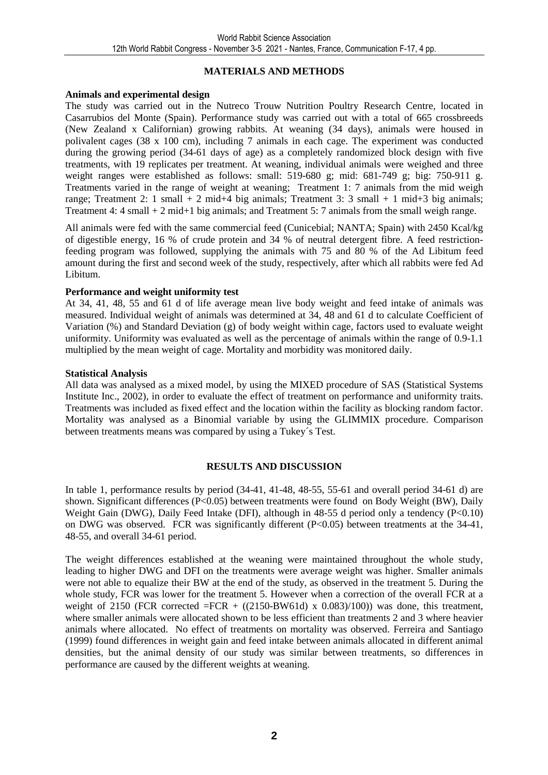#### **MATERIALS AND METHODS**

#### **Animals and experimental design**

The study was carried out in the Nutreco Trouw Nutrition Poultry Research Centre, located in Casarrubios del Monte (Spain). Performance study was carried out with a total of 665 crossbreeds (New Zealand x Californian) growing rabbits. At weaning (34 days), animals were housed in polivalent cages (38 x 100 cm), including 7 animals in each cage. The experiment was conducted during the growing period (34-61 days of age) as a completely randomized block design with five treatments, with 19 replicates per treatment. At weaning, individual animals were weighed and three weight ranges were established as follows: small: 519-680 g; mid: 681-749 g; big: 750-911 g. Treatments varied in the range of weight at weaning; Treatment 1: 7 animals from the mid weigh range; Treatment 2: 1 small + 2 mid+4 big animals; Treatment 3: 3 small + 1 mid+3 big animals; Treatment 4: 4 small + 2 mid+1 big animals; and Treatment 5: 7 animals from the small weigh range.

All animals were fed with the same commercial feed (Cunicebial; NANTA; Spain) with 2450 Kcal/kg of digestible energy, 16 % of crude protein and 34 % of neutral detergent fibre. A feed restrictionfeeding program was followed, supplying the animals with 75 and 80 % of the Ad Libitum feed amount during the first and second week of the study, respectively, after which all rabbits were fed Ad Libitum.

#### **Performance and weight uniformity test**

At 34, 41, 48, 55 and 61 d of life average mean live body weight and feed intake of animals was measured. Individual weight of animals was determined at 34, 48 and 61 d to calculate Coefficient of Variation (%) and Standard Deviation (g) of body weight within cage, factors used to evaluate weight uniformity. Uniformity was evaluated as well as the percentage of animals within the range of 0.9-1.1 multiplied by the mean weight of cage. Mortality and morbidity was monitored daily.

#### **Statistical Analysis**

All data was analysed as a mixed model, by using the MIXED procedure of SAS (Statistical Systems Institute Inc., 2002), in order to evaluate the effect of treatment on performance and uniformity traits. Treatments was included as fixed effect and the location within the facility as blocking random factor. Mortality was analysed as a Binomial variable by using the GLIMMIX procedure. Comparison between treatments means was compared by using a Tukey´s Test.

#### **RESULTS AND DISCUSSION**

In table 1, performance results by period (34-41, 41-48, 48-55, 55-61 and overall period 34-61 d) are shown. Significant differences (P<0.05) between treatments were found on Body Weight (BW), Daily Weight Gain (DWG), Daily Feed Intake (DFI), although in 48-55 d period only a tendency (P<0.10) on DWG was observed. FCR was significantly different  $(P<0.05)$  between treatments at the 34-41, 48-55, and overall 34-61 period.

The weight differences established at the weaning were maintained throughout the whole study, leading to higher DWG and DFI on the treatments were average weight was higher. Smaller animals were not able to equalize their BW at the end of the study, as observed in the treatment 5. During the whole study, FCR was lower for the treatment 5. However when a correction of the overall FCR at a weight of 2150 (FCR corrected =FCR +  $((2150-BW61d) \times 0.083)/100)$ ) was done, this treatment, where smaller animals were allocated shown to be less efficient than treatments 2 and 3 where heavier animals where allocated. No effect of treatments on mortality was observed. Ferreira and Santiago (1999) found differences in weight gain and feed intake between animals allocated in different animal densities, but the animal density of our study was similar between treatments, so differences in performance are caused by the different weights at weaning.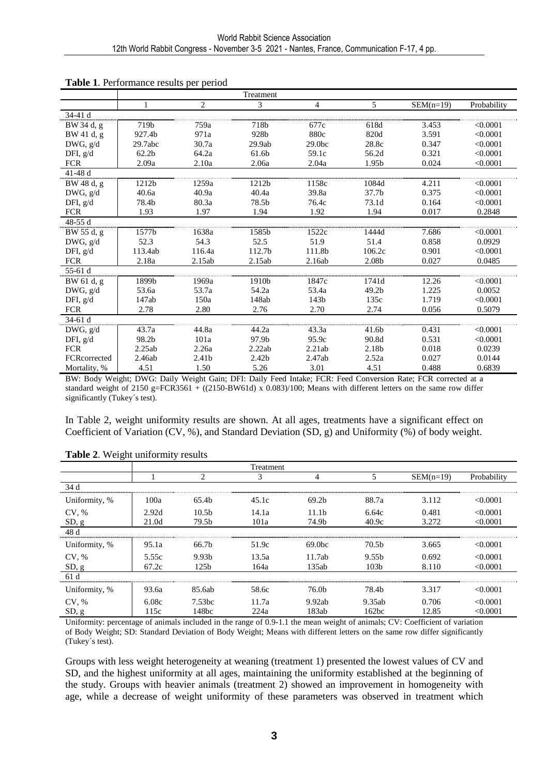|              |                   |                   | Treatment         |                    |                   |             |             |
|--------------|-------------------|-------------------|-------------------|--------------------|-------------------|-------------|-------------|
|              | 1                 | 2                 | 3                 | $\overline{4}$     | 5                 | $SEM(n=19)$ | Probability |
| 34-41 d      |                   |                   |                   |                    |                   |             |             |
| BW 34 d, g   | 719b              | 759a              | 718b              | 677c               | 618d              | 3.453       | < 0.0001    |
| BW 41 d, g   | 927.4b            | 971a              | 928b              | 880c               | 820d              | 3.591       | < 0.0001    |
| DWG, g/d     | 29.7abc           | 30.7a             | 29.9ab            | 29.0 <sub>bc</sub> | 28.8c             | 0.347       | < 0.0001    |
| DFI, g/d     | 62.2 <sub>b</sub> | 64.2a             | 61.6b             | 59.1c              | 56.2d             | 0.321       | < 0.0001    |
| <b>FCR</b>   | 2.09a             | 2.10a             | 2.06a             | 2.04a              | 1.95b             | 0.024       | < 0.0001    |
| 41-48 d      |                   |                   |                   |                    |                   |             |             |
| BW 48 d, g   | 1212b             | 1259a             | 1212b             | 1158c              | 1084d             | 4.211       | < 0.0001    |
| DWG, g/d     | 40.6a             | 40.9a             | 40.4a             | 39.8a              | 37.7 <sub>b</sub> | 0.375       | < 0.0001    |
| DFI, $g/d$   | 78.4b             | 80.3a             | 78.5b             | 76.4c              | 73.1d             | 0.164       | < 0.0001    |
| <b>FCR</b>   | 1.93              | 1.97              | 1.94              | 1.92               | 1.94              | 0.017       | 0.2848      |
| 48-55 $d$    |                   |                   |                   |                    |                   |             |             |
| BW 55 d, g   | 1577b             | 1638a             | 1585b             | 1522c              | 1444d             | 7.686       | < 0.0001    |
| DWG, g/d     | 52.3              | 54.3              | 52.5              | 51.9               | 51.4              | 0.858       | 0.0929      |
| DFI, $g/d$   | 113.4ab           | 116.4a            | 112.7b            | 111.8b             | 106.2c            | 0.901       | < 0.0001    |
| <b>FCR</b>   | 2.18a             | 2.15ab            | 2.15ab            | 2.16ab             | 2.08b             | 0.027       | 0.0485      |
| 55-61 d      |                   |                   |                   |                    |                   |             |             |
| BW 61 d, g   | 1899b             | 1969a             | 1910b             | 1847c              | 1741d             | 12.26       | < 0.0001    |
| DWG, g/d     | 53.6a             | 53.7a             | 54.2a             | 53.4a              | 49.2 <sub>b</sub> | 1.225       | 0.0052      |
| DFI, g/d     | 147ab             | 150a              | 148ab             | 143b               | 135c              | 1.719       | < 0.0001    |
| <b>FCR</b>   | 2.78              | 2.80              | 2.76              | 2.70               | 2.74              | 0.056       | 0.5079      |
| $34-61d$     |                   |                   |                   |                    |                   |             |             |
| DWG, g/d     | 43.7a             | 44.8a             | 44.2a             | 43.3a              | 41.6b             | 0.431       | < 0.0001    |
| DFI, $g/d$   | 98.2b             | 101a              | 97.9b             | 95.9c              | 90.8d             | 0.531       | < 0.0001    |
| <b>FCR</b>   | 2.25ab            | 2.26a             | 2.22ab            | 2.21ab             | 2.18b             | 0.018       | 0.0239      |
| FCRcorrected | 2.46ab            | 2.41 <sub>b</sub> | 2.42 <sub>b</sub> | 2.47ab             | 2.52a             | 0.027       | 0.0144      |
| Mortality, % | 4.51              | 1.50              | 5.26              | 3.01               | 4.51              | 0.488       | 0.6839      |

#### **Table 1**. Performance results per period

BW: Body Weight; DWG: Daily Weight Gain; DFI: Daily Feed Intake; FCR: Feed Conversion Rate; FCR corrected at a standard weight of 2150 g=FCR3561 +  $((2150-BW61d) \times 0.083)/100$ ; Means with different letters on the same row differ significantly (Tukey's test).

In Table 2, weight uniformity results are shown. At all ages, treatments have a significant effect on Coefficient of Variation (CV, %), and Standard Deviation (SD, g) and Uniformity (%) of body weight.

| J             |       |                   | <b>Treatment</b> |                   |                   |             |             |
|---------------|-------|-------------------|------------------|-------------------|-------------------|-------------|-------------|
|               |       | 2                 | 3                | 4                 | 5                 | $SEM(n=19)$ | Probability |
| 34 d          |       |                   |                  |                   |                   |             |             |
| Uniformity, % | 100a  | 65.4 <sub>b</sub> | 45.1c            | 69.2 <sub>b</sub> | 88.7a             | 3.112       | < 0.0001    |
| CV, %         | 2.92d | 10.5 <sub>b</sub> | 14.1a            | 11.1 <sub>b</sub> | 6.64c             | 0.481       | < 0.0001    |
| SD, g         | 21.0d | 79.5b             | 101a             | 74.9b             | 40.9c             | 3.272       | < 0.0001    |
| 48 d          |       |                   |                  |                   |                   |             |             |
| Uniformity, % | 95.1a | 66.7b             | 51.9c            | 69.0bc            | 70.5 <sub>b</sub> | 3.665       | < 0.0001    |
| CV, %         | 5.55c | 9.93 <sub>b</sub> | 13.5a            | 11.7ab            | 9.55 <sub>b</sub> | 0.692       | < 0.0001    |
| SD, g         | 67.2c | 125b              | 164a             | 135ab             | 103 <sub>b</sub>  | 8.110       | < 0.0001    |
| 61 d          |       |                   |                  |                   |                   |             |             |
| Uniformity, % | 93.6a | 85.6ab            | 58.6c            | 76.0b             | 78.4b             | 3.317       | < 0.0001    |
| CV, %         | 6.08c | 7.53bc            | 11.7a            | 9.92ab            | 9.35ab            | 0.706       | < 0.0001    |
| SD, g         | 115c  | 148bc             | 224a             | 183ab             | 162bc             | 12.85       | < 0.0001    |

#### **Table 2**. Weight uniformity results

Uniformity: percentage of animals included in the range of 0.9-1.1 the mean weight of animals; CV: Coefficient of variation of Body Weight; SD: Standard Deviation of Body Weight; Means with different letters on the same row differ significantly (Tukey´s test).

Groups with less weight heterogeneity at weaning (treatment 1) presented the lowest values of CV and SD, and the highest uniformity at all ages, maintaining the uniformity established at the beginning of the study. Groups with heavier animals (treatment 2) showed an improvement in homogeneity with age, while a decrease of weight uniformity of these parameters was observed in treatment which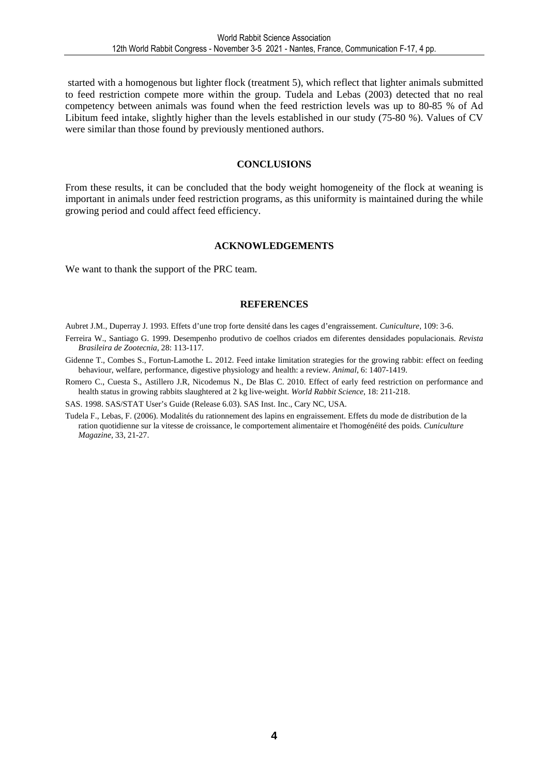started with a homogenous but lighter flock (treatment 5), which reflect that lighter animals submitted to feed restriction compete more within the group. Tudela and Lebas (2003) detected that no real competency between animals was found when the feed restriction levels was up to 80-85 % of Ad Libitum feed intake, slightly higher than the levels established in our study (75-80 %). Values of CV were similar than those found by previously mentioned authors.

#### **CONCLUSIONS**

From these results, it can be concluded that the body weight homogeneity of the flock at weaning is important in animals under feed restriction programs, as this uniformity is maintained during the while growing period and could affect feed efficiency.

#### **ACKNOWLEDGEMENTS**

We want to thank the support of the PRC team.

#### **REFERENCES**

Aubret J.M., Duperray J. 1993. Effets d'une trop forte densité dans les cages d'engraissement. *Cuniculture,* 109: 3-6.

- Ferreira W., Santiago G. 1999. Desempenho produtivo de coelhos criados em diferentes densidades populacionais. *Revista Brasileira de Zootecnia,* 28: 113-117.
- Gidenne T., Combes S., Fortun-Lamothe L. 2012. Feed intake limitation strategies for the growing rabbit: effect on feeding behaviour, welfare, performance, digestive physiology and health: a review. *Animal*, 6: 1407-1419.
- Romero C., Cuesta S., Astillero J.R, Nicodemus N., De Blas C. 2010. Effect of early feed restriction on performance and health status in growing rabbits slaughtered at 2 kg live-weight. *World Rabbit Science*, 18: 211-218.

SAS. 1998. SAS/STAT User's Guide (Release 6.03). SAS Inst. Inc., Cary NC, USA.

Tudela F., Lebas, F. (2006). Modalités du rationnement des lapins en engraissement. Effets du mode de distribution de la ration quotidienne sur la vitesse de croissance, le comportement alimentaire et l'homogénéité des poids. *Cuniculture Magazine,* 33, 21-27.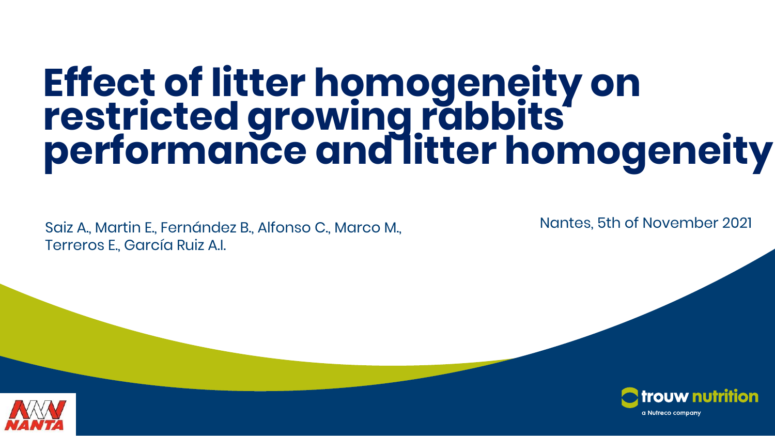# **25/10/2021 Effect of litter homogeneity on restricted growing rabbits' performance and litter homogeneity**

Saiz A., Martin E., Fernández B., Alfonso C., Marco M., Nantes, 5th of November 2021 Terreros E., García Ruiz A.I.



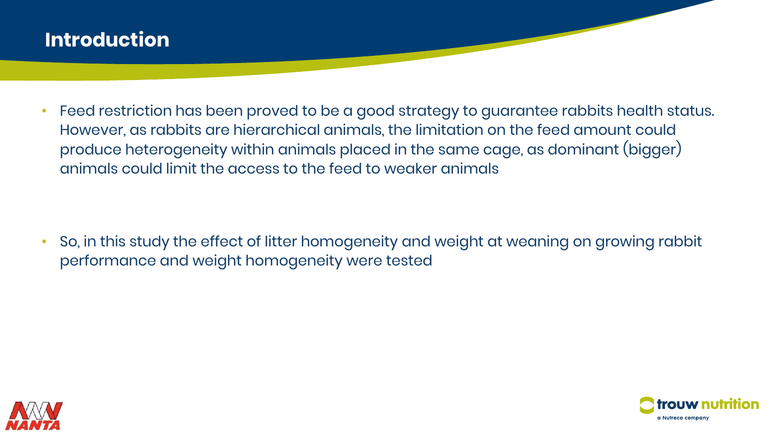### **Introduction**

• Feed restriction has been proved to be a good strategy to guarantee rabbits health status. However, as rabbits are hierarchical animals, the limitation on the feed amount could produce heterogeneity within animals placed in the same cage, as dominant (bigger) animals could limit the access to the feed to weaker animals

• So, in this study the effect of litter homogeneity and weight at weaning on growing rabbit performance and weight homogeneity were tested



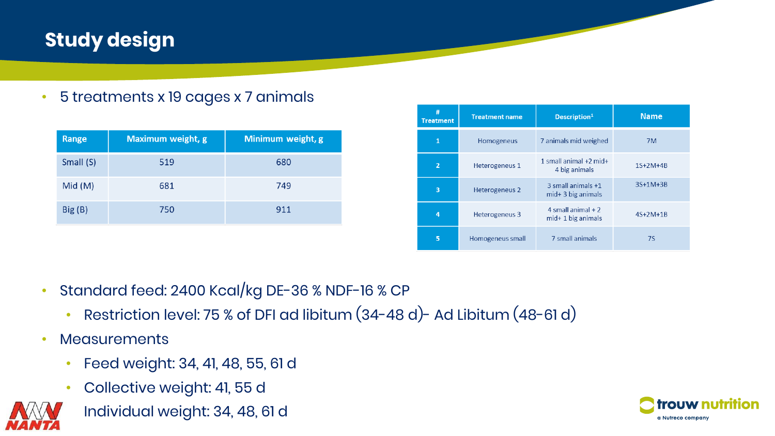# **Study design**

• 5 treatments x 19 cages x 7 animals

| Range     | <b>Maximum weight, g</b> | Minimum weight, g |
|-----------|--------------------------|-------------------|
| Small (S) | 519                      | 680               |
| Mid(M)    | 681                      | 749               |
| Big(B)    | 750                      | 911               |

| #<br><b>Treatment</b> | <b>Treatment name</b> | Description <sup>1</sup>                     | <b>Name</b> |
|-----------------------|-----------------------|----------------------------------------------|-------------|
| 1                     | Homogeneus            | 7 animals mid weighed                        | 7M          |
| $\overline{2}$        | Heterogeneus 1        | 1 small animal $+2$ mid $+$<br>4 big animals | $1S+2M+4B$  |
| 3                     | Heterogeneus 2        | 3 small animals +1<br>mid+ 3 big animals     | 3S+1M+3B    |
| 4                     | Heterogeneus 3        | 4 small animal $+2$<br>$mid+1$ big animals   | $4S+2M+1B$  |
| 5                     | Homogeneus small      | 7 small animals                              | <b>7S</b>   |

- Standard feed: 2400 Kcal/kg DE-36 % NDF-16 % CP
	- Restriction level: 75 % of DFI ad libitum (34-48 d)- Ad Libitum (48-61 d)
- Measurements
	- Feed weight: 34, 41, 48, 55, 61 d
	- Collective weight: 41, 55 d



• Individual weight: 34, 48, 61 d

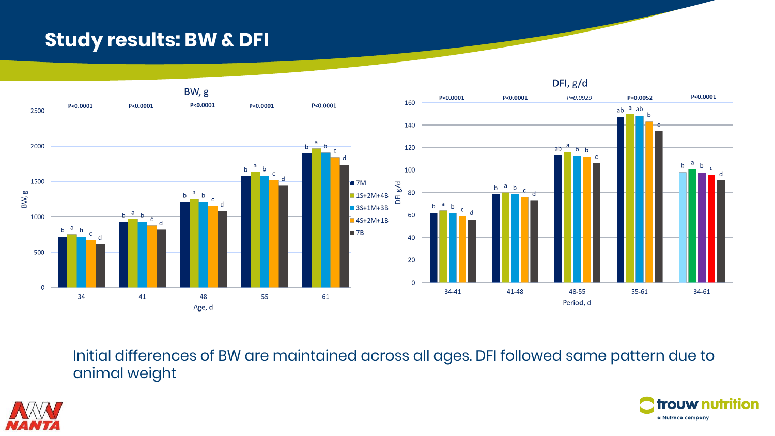### **Study results: BW & DFI**



Initial differences of BW are maintained across all ages. DFI followed same pattern due to animal weight



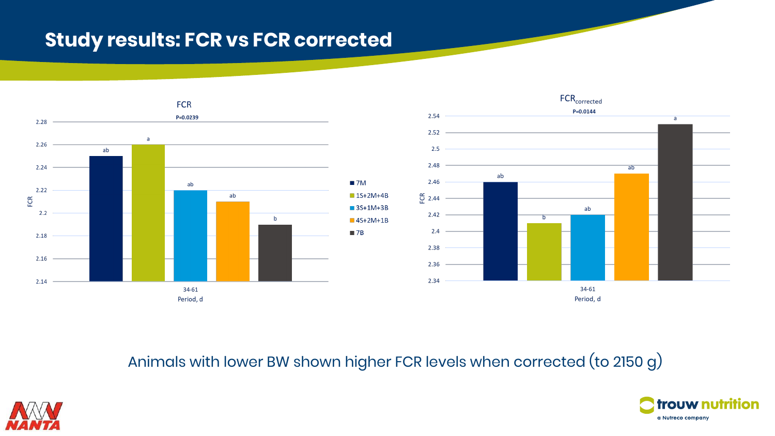### **Study results: FCR vs FCR corrected**





Animals with lower BW shown higher FCR levels when corrected (to 2150 g)



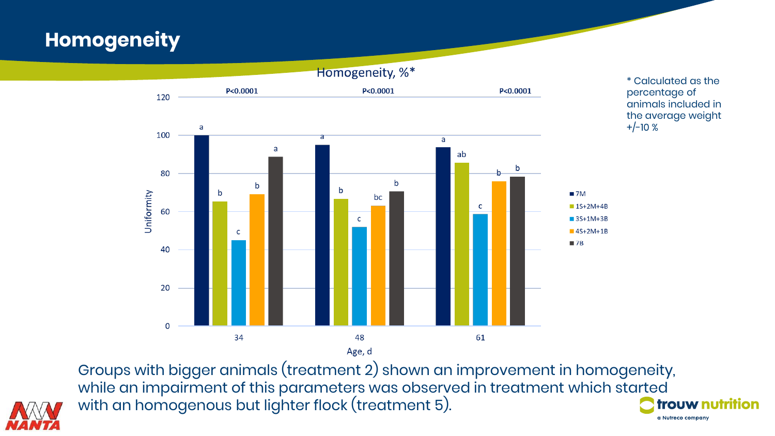# **Homogeneity**



Groups with bigger animals (treatment 2) shown an improvement in homogeneity, while an impairment of this parameters was observed in treatment which started with an homogenous but lighter flock (treatment 5).



trouw nutrition a Nutreco company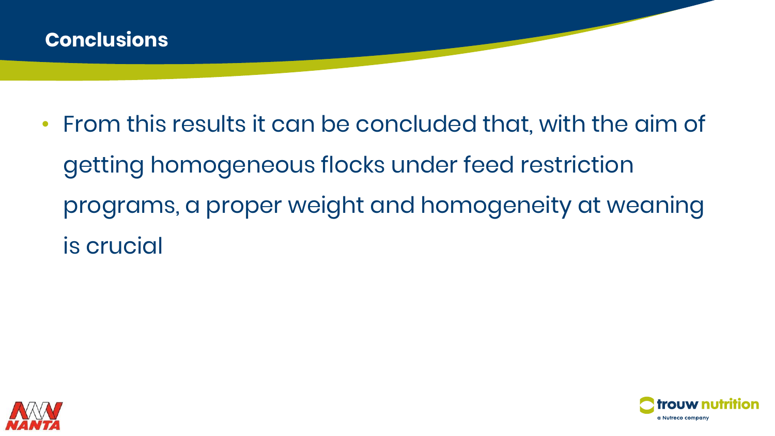

• From this results it can be concluded that, with the aim of getting homogeneous flocks under feed restriction programs, a proper weight and homogeneity at weaning is crucial